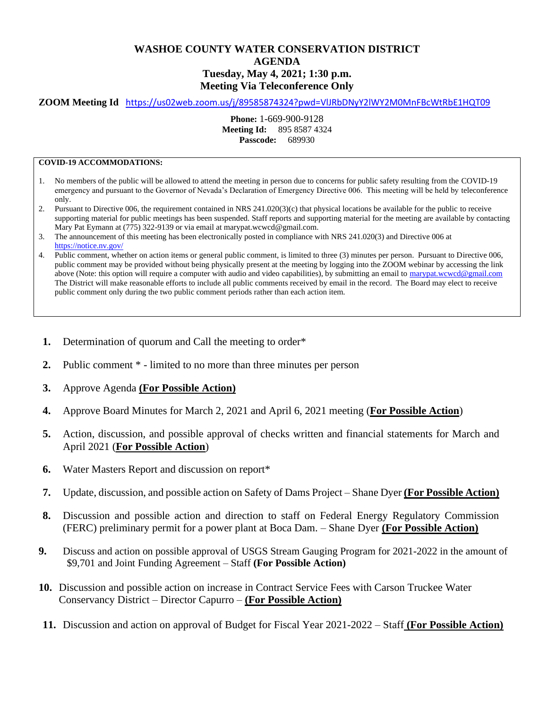## **WASHOE COUNTY WATER CONSERVATION DISTRICT AGENDA Tuesday, May 4, 2021; 1:30 p.m. Meeting Via Teleconference Only**

## **ZOOM Meeting Id** <https://us02web.zoom.us/j/89585874324?pwd=VlJRbDNyY2lWY2M0MnFBcWtRbE1HQT09>

**Phone:** 1-669-900-9128 **Meeting Id:** 895 8587 4324 **Passcode:** 689930

## **COVID-19 ACCOMMODATIONS:**

- 1. No members of the public will be allowed to attend the meeting in person due to concerns for public safety resulting from the COVID-19 emergency and pursuant to the Governor of Nevada's Declaration of Emergency Directive 006. This meeting will be held by teleconference only.
- 2. Pursuant to Directive 006, the requirement contained in NRS 241.020(3)(c) that physical locations be available for the public to receive supporting material for public meetings has been suspended. Staff reports and supporting material for the meeting are available by contacting Mary Pat Eymann at (775) 322-9139 or via email at marypat.wcwcd@gmail.com.
- 3. The announcement of this meeting has been electronically posted in compliance with NRS 241.020(3) and Directive 006 at <https://notice.nv.gov/>
- 4. Public comment, whether on action items or general public comment, is limited to three (3) minutes per person. Pursuant to Directive 006, public comment may be provided without being physically present at the meeting by logging into the ZOOM webinar by accessing the link above (Note: this option will require a computer with audio and video capabilities), by submitting an email to marypat.wcwcd@gmail.com The District will make reasonable efforts to include all public comments received by email in the record. The Board may elect to receive public comment only during the two public comment periods rather than each action item.
- **1.** Determination of quorum and Call the meeting to order\*
- **2.** Public comment \* limited to no more than three minutes per person
- **3.** Approve Agenda **(For Possible Action)**
- **4.** Approve Board Minutes for March 2, 2021 and April 6, 2021 meeting (**For Possible Action**)
- **5.** Action, discussion, and possible approval of checks written and financial statements for March and April 2021 (**For Possible Action**)
- **6.** Water Masters Report and discussion on report\*
- **7.** Update, discussion, and possible action on Safety of Dams Project Shane Dyer **(For Possible Action)**
- **8.** Discussion and possible action and direction to staff on Federal Energy Regulatory Commission (FERC) preliminary permit for a power plant at Boca Dam. – Shane Dyer **(For Possible Action)**
- **9.** Discuss and action on possible approval of USGS Stream Gauging Program for 2021-2022 in the amount of \$9,701 and Joint Funding Agreement – Staff **(For Possible Action)**
- **10.** Discussion and possible action on increase in Contract Service Fees with Carson Truckee Water Conservancy District – Director Capurro – **(For Possible Action)**
- **11.** Discussion and action on approval of Budget for Fiscal Year 2021-2022 Staff **(For Possible Action)**